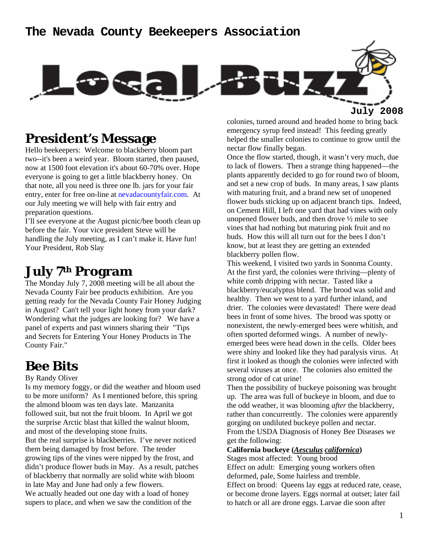

**July 2008**

## **President's Message**

Hello beekeepers: Welcome to blackberry bloom part two--it's been a weird year. Bloom started, then paused, now at 1500 foot elevation it's about 60-70% over. Hope everyone is going to get a little blackberry honey. On that note, all you need is three one lb. jars for your fair entry, enter for free on-line at nevadacountyfair.com. At our July meeting we will help with fair entry and preparation questions.

I'll see everyone at the August picnic/bee booth clean up before the fair. Your vice president Steve will be handling the July meeting, as I can't make it. Have fun! Your President, Rob Slay

## **July 7th Program**

The Monday July 7, 2008 meeting will be all about the Nevada County Fair bee products exhibition. Are you getting ready for the Nevada County Fair Honey Judging in August? Can't tell your light honey from your dark? Wondering what the judges are looking for? We have a panel of experts and past winners sharing their "Tips and Secrets for Entering Your Honey Products in The County Fair."

## **Bee Bits**

#### By Randy Oliver

Is my memory foggy, or did the weather and bloom used to be more uniform? As I mentioned before, this spring the almond bloom was ten days late. Manzanita followed suit, but not the fruit bloom. In April we got the surprise Arctic blast that killed the walnut bloom, and most of the developing stone fruits. But the real surprise is blackberries. I've never noticed them being damaged by frost before. The tender growing tips of the vines were nipped by the frost, and didn't produce flower buds in May. As a result, patches of blackberry that normally are solid white with bloom in late May and June had only a few flowers. We actually headed out one day with a load of honey supers to place, and when we saw the condition of the

colonies, turned around and headed home to bring back emergency syrup feed instead! This feeding greatly helped the smaller colonies to continue to grow until the nectar flow finally began.

Once the flow started, though, it wasn't very much, due to lack of flowers. Then a strange thing happened—the plants apparently decided to go for round two of bloom, and set a new crop of buds. In many areas, I saw plants with maturing fruit, and a brand new set of unopened flower buds sticking up on adjacent branch tips. Indeed, on Cement Hill, I left one yard that had vines with only unopened flower buds, and then drove ½ mile to see vines that had nothing but maturing pink fruit and no buds. How this will all turn out for the bees I don't know, but at least they are getting an extended blackberry pollen flow.

This weekend, I visited two yards in Sonoma County. At the first yard, the colonies were thriving—plenty of white comb dripping with nectar. Tasted like a blackberry/eucalyptus blend. The brood was solid and healthy. Then we went to a yard further inland, and drier. The colonies were devastated! There were dead bees in front of some hives. The brood was spotty or nonexistent, the newly-emerged bees were whitish, and often sported deformed wings. A number of newlyemerged bees were head down in the cells. Older bees were shiny and looked like they had paralysis virus. At first it looked as though the colonies were infected with several viruses at once. The colonies also emitted the strong odor of cat urine!

Then the possibility of buckeye poisoning was brought up. The area was full of buckeye in bloom, and due to the odd weather, it was blooming *after* the blackberry, rather than concurrently. The colonies were apparently gorging on undiluted buckeye pollen and nectar. From the USDA Diagnosis of Honey Bee Diseases we get the following:

#### **California buckeye (***Aesculus californica***)**

Stages most affected: Young brood Effect on adult: Emerging young workers often deformed, pale, Some hairless and tremble. Effect on brood: Queens lay eggs at reduced rate, cease, or become drone layers. Eggs normal at outset; later fail to hatch or all are drone eggs. Larvae die soon after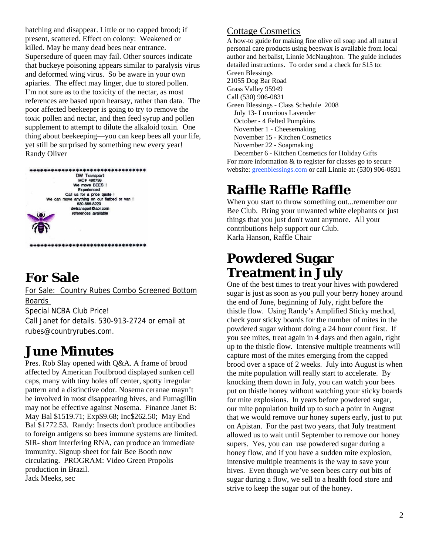hatching and disappear. Little or no capped brood; if present, scattered. Effect on colony: Weakened or killed. May be many dead bees near entrance. Supersedure of queen may fail. Other sources indicate that buckeye poisoning appears similar to paralysis virus and deformed wing virus. So be aware in your own apiaries. The effect may linger, due to stored pollen. I'm not sure as to the toxicity of the nectar, as most references are based upon hearsay, rather than data. The poor affected beekeeper is going to try to remove the toxic pollen and nectar, and then feed syrup and pollen supplement to attempt to dilute the alkaloid toxin. One thing about beekeeping—you can keep bees all your life, yet still be surprised by something new every year! Randy Oliver



# **For Sale**

For Sale: Country Rubes Combo Screened Bottom Boards Special NCBA Club Price! Call Janet for details. 530-913-2724 or email at rubes@countryrubes.com.

## **June Minutes**

Pres. Rob Slay opened with Q&A. A frame of brood affected by American Foulbrood displayed sunken cell caps, many with tiny holes off center, spotty irregular pattern and a distinctive odor. Nosema ceranae mayn't be involved in most disappearing hives, and Fumagillin may not be effective against Nosema. Finance Janet B: May Bal \$1519.71; Exp\$9.68; Inc\$262.50; May End Bal \$1772.53. Randy: Insects don't produce antibodies to foreign antigens so bees immune systems are limited. SIR- short interfering RNA, can produce an immediate immunity. Signup sheet for fair Bee Booth now circulating. PROGRAM: Video Green Propolis production in Brazil. Jack Meeks, sec

### Cottage Cosmetics

A how-to guide for making fine olive oil soap and all natural personal care products using beeswax is available from local author and herbalist, Linnie McNaughton. The guide includes detailed instructions. To order send a check for \$15 to: Green Blessings 21055 Dog Bar Road Grass Valley 95949 Call (530) 906-0831 Green Blessings - Class Schedule 2008 July 13- Luxurious Lavender October - 4 Felted Pumpkins November 1 - Cheesemaking November 15 - Kitchen Cosmetics November 22 - Soapmaking December 6 - Kitchen Cosmetics for Holiday Gifts For more information & to register for classes go to secure

# **Raffle Raffle Raffle**

When you start to throw something out...remember our Bee Club. Bring your unwanted white elephants or just things that you just don't want anymore. All your contributions help support our Club. Karla Hanson, Raffle Chair

website: greenblessings.com or call Linnie at: (530) 906-0831

## **Powdered Sugar Treatment in July**

One of the best times to treat your hives with powdered sugar is just as soon as you pull your berry honey around the end of June, beginning of July, right before the thistle flow. Using Randy's Amplified Sticky method, check your sticky boards for the number of mites in the powdered sugar without doing a 24 hour count first. If you see mites, treat again in 4 days and then again, right up to the thistle flow. Intensive multiple treatments will capture most of the mites emerging from the capped brood over a space of 2 weeks. July into August is when the mite population will really start to accelerate. By knocking them down in July, you can watch your bees put on thistle honey without watching your sticky boards for mite explosions. In years before powdered sugar, our mite population build up to such a point in August that we would remove our honey supers early, just to put on Apistan. For the past two years, that July treatment allowed us to wait until September to remove our honey supers. Yes, you can use powdered sugar during a honey flow, and if you have a sudden mite explosion, intensive multiple treatments is the way to save your hives. Even though we've seen bees carry out bits of sugar during a flow, we sell to a health food store and strive to keep the sugar out of the honey.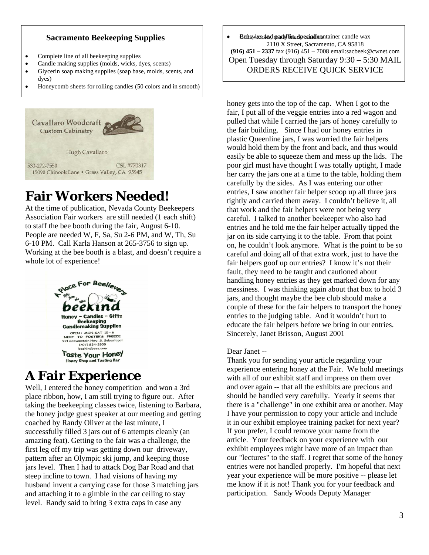### **Sacramento Beekeeping Supplies**

- Complete line of all beekeeping supplies
- Candle making supplies (molds, wicks, dyes, scents)
- Glycerin soap making supplies (soap base, molds, scents, and dyes)
- Honeycomb sheets for rolling candles (50 colors and in smooth)



# **Fair Workers Needed!**

At the time of publication, Nevada County Beekeepers People are needed W, F, Sa, Su 2-6 PM, and W, Th, Su Working at the bee booth is a blast, and doesn't require a Association Fair workers are still needed (1 each shift) to staff the bee booth during the fair, August 6-10. 6-10 PM. Call Karla Hanson at 265-3756 to sign up. whole lot of experience!



# **A Fair Experience**

Well, I entered the honey competition and won a 3rd taking the beekeeping classes twice, listening to Barbara, successfully filled 3 jars out of 6 attempts cleanly (an husband invent a carrying case for those 3 matching jars level. Randy said to bring 3 extra caps in case any place ribbon, how, I am still trying to figure out. After the honey judge guest speaker at our meeting and getting coached by Randy Oliver at the last minute, I amazing feat). Getting to the fair was a challenge, the first leg off my trip was getting down our driveway, pattern after an Olympic ski jump, and keeping those jars level. Then I had to attack Dog Bar Road and that steep incline to town. I had visions of having my and attaching it to a gimble in the car ceiling to stay

Befts wax odds d read with made equal less ntainer candle wax 2110 X Street, Sacramento, CA 95818 **(916) 451 – 2337** fax (916) 451 – 7008 email:sacbeek@cwnet.com Open Tuesday through Saturday 9:30 – 5:30 MAIL ORDERS RECEIVE QUICK SERVICE

fair, I put all of the veggie entries into a red wagon and pulled that while I carried the jars of honey carefully to easily be able to squeeze them and mess up the lids. The poor girl must have thought I was totally uptight, I made jar on its side carrying it to the table. From that point on, he couldn't look anymore. What is the point to be so messiness. I was thinking again about that box to hold 3 jars, and thought maybe the bee club should make a . educate the fair helpers before we bring in our entries honey gets into the top of the cap. When I got to the the fair building. Since I had our honey entries in plastic Queenline jars, I was worried the fair helpers would hold them by the front and back, and thus would her carry the jars one at a time to the table, holding them carefully by the sides. As I was entering our other entries, I saw another fair helper scoop up all three jars tightly and carried them away. I couldn't believe it, all that work and the fair helpers were not being very careful. I talked to another beekeeper who also had entries and he told me the fair helper actually tipped the careful and doing all of that extra work, just to have the fair helpers goof up our entries? I know it's not their fault, they need to be taught and cautioned about handling honey entries as they get marked down for any couple of these for the fair helpers to transport the honey entries to the judging table. And it wouldn't hurt to Sincerely, Janet Brisson, August 2001

#### Dear Janet --

Thank you for sending your article regarding your experience entering honey at the Fair. We hold meetings with all of our exhibit staff and impress on them over and over again -- that all the exhibits are precious and there is a "challenge" in one exhibit area or another. May our "lectures" to the staff. I regret that some of the honey entries were not handled properly. I'm hopeful that next should be handled very carefully. Yearly it seems that I have your permission to copy your article and include it in our exhibit employee training packet for next year? If you prefer, I could remove your name from the article. Your feedback on your experience with our exhibit employees might have more of an impact than year your experience will be more positive -- please let me know if it is not! Thank you for your feedback and participation. Sandy Woods Deputy Manager